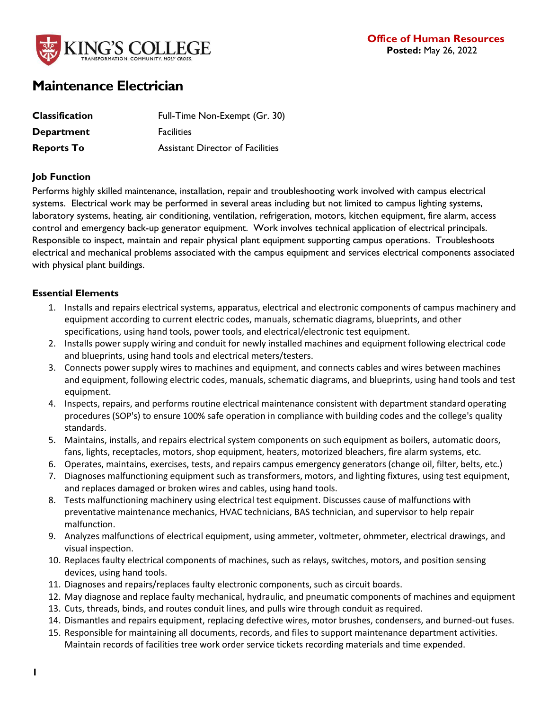

# **Maintenance Electrician**

| <b>Classification</b> | Full-Time Non-Exempt (Gr. 30)           |
|-----------------------|-----------------------------------------|
| <b>Department</b>     | <b>Facilities</b>                       |
| <b>Reports To</b>     | <b>Assistant Director of Facilities</b> |

### **Job Function**

Performs highly skilled maintenance, installation, repair and troubleshooting work involved with campus electrical systems. Electrical work may be performed in several areas including but not limited to campus lighting systems, laboratory systems, heating, air conditioning, ventilation, refrigeration, motors, kitchen equipment, fire alarm, access control and emergency back-up generator equipment. Work involves technical application of electrical principals. Responsible to inspect, maintain and repair physical plant equipment supporting campus operations. Troubleshoots electrical and mechanical problems associated with the campus equipment and services electrical components associated with physical plant buildings.

# **Essential Elements**

- 1. Installs and repairs electrical systems, apparatus, electrical and electronic components of campus machinery and equipment according to current electric codes, manuals, schematic diagrams, blueprints, and other specifications, using hand tools, power tools, and electrical/electronic test equipment.
- 2. Installs power supply wiring and conduit for newly installed machines and equipment following electrical code and blueprints, using hand tools and electrical meters/testers.
- 3. Connects power supply wires to machines and equipment, and connects cables and wires between machines and equipment, following electric codes, manuals, schematic diagrams, and blueprints, using hand tools and test equipment.
- 4. Inspects, repairs, and performs routine electrical maintenance consistent with department standard operating procedures (SOP's) to ensure 100% safe operation in compliance with building codes and the college's quality standards.
- 5. Maintains, installs, and repairs electrical system components on such equipment as boilers, automatic doors, fans, lights, receptacles, motors, shop equipment, heaters, motorized bleachers, fire alarm systems, etc.
- 6. Operates, maintains, exercises, tests, and repairs campus emergency generators (change oil, filter, belts, etc.)
- 7. Diagnoses malfunctioning equipment such as transformers, motors, and lighting fixtures, using test equipment, and replaces damaged or broken wires and cables, using hand tools.
- 8. Tests malfunctioning machinery using electrical test equipment. Discusses cause of malfunctions with preventative maintenance mechanics, HVAC technicians, BAS technician, and supervisor to help repair malfunction.
- 9. Analyzes malfunctions of electrical equipment, using ammeter, voltmeter, ohmmeter, electrical drawings, and visual inspection.
- 10. Replaces faulty electrical components of machines, such as relays, switches, motors, and position sensing devices, using hand tools.
- 11. Diagnoses and repairs/replaces faulty electronic components, such as circuit boards.
- 12. May diagnose and replace faulty mechanical, hydraulic, and pneumatic components of machines and equipment
- 13. Cuts, threads, binds, and routes conduit lines, and pulls wire through conduit as required.
- 14. Dismantles and repairs equipment, replacing defective wires, motor brushes, condensers, and burned-out fuses.
- 15. Responsible for maintaining all documents, records, and files to support maintenance department activities. Maintain records of facilities tree work order service tickets recording materials and time expended.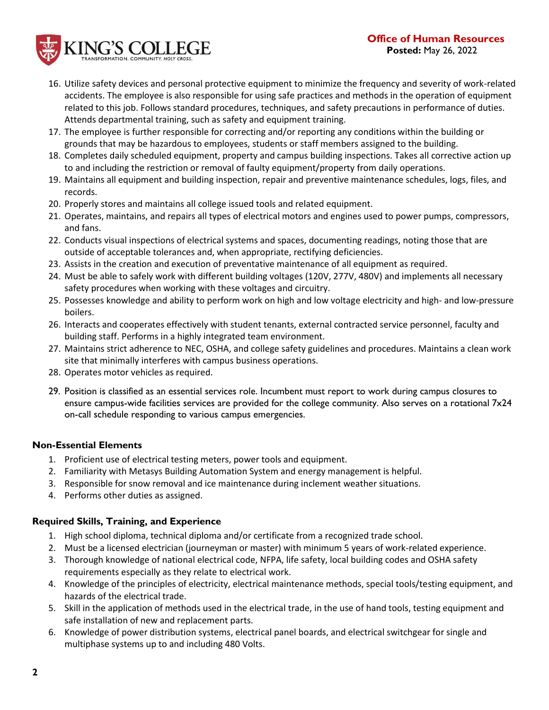# **Office of Human Resources Posted:** May 26, 2022



- 16. Utilize safety devices and personal protective equipment to minimize the frequency and severity of work-related accidents. The employee is also responsible for using safe practices and methods in the operation of equipment related to this job. Follows standard procedures, techniques, and safety precautions in performance of duties. Attends departmental training, such as safety and equipment training.
- 17. The employee is further responsible for correcting and/or reporting any conditions within the building or grounds that may be hazardous to employees, students or staff members assigned to the building.
- 18. Completes daily scheduled equipment, property and campus building inspections. Takes all corrective action up to and including the restriction or removal of faulty equipment/property from daily operations.
- 19. Maintains all equipment and building inspection, repair and preventive maintenance schedules, logs, files, and records.
- 20. Properly stores and maintains all college issued tools and related equipment.
- 21. Operates, maintains, and repairs all types of electrical motors and engines used to power pumps, compressors, and fans.
- 22. Conducts visual inspections of electrical systems and spaces, documenting readings, noting those that are outside of acceptable tolerances and, when appropriate, rectifying deficiencies.
- 23. Assists in the creation and execution of preventative maintenance of all equipment as required.
- 24. Must be able to safely work with different building voltages (120V, 277V, 480V) and implements all necessary safety procedures when working with these voltages and circuitry.
- 25. Possesses knowledge and ability to perform work on high and low voltage electricity and high- and low-pressure boilers.
- 26. Interacts and cooperates effectively with student tenants, external contracted service personnel, faculty and building staff. Performs in a highly integrated team environment.
- 27. Maintains strict adherence to NEC, OSHA, and college safety guidelines and procedures. Maintains a clean work site that minimally interferes with campus business operations.
- 28. Operates motor vehicles as required.
- 29. Position is classified as an essential services role. Incumbent must report to work during campus closures to ensure campus-wide facilities services are provided for the college community. Also serves on a rotational 7x24 on-call schedule responding to various campus emergencies.

# **Non-Essential Elements**

- 1. Proficient use of electrical testing meters, power tools and equipment.
- 2. Familiarity with Metasys Building Automation System and energy management is helpful.
- 3. Responsible for snow removal and ice maintenance during inclement weather situations.
- 4. Performs other duties as assigned.

#### **Required Skills, Training, and Experience**

- 1. High school diploma, technical diploma and/or certificate from a recognized trade school.
- 2. Must be a licensed electrician (journeyman or master) with minimum 5 years of work-related experience.
- 3. Thorough knowledge of national electrical code, NFPA, life safety, local building codes and OSHA safety requirements especially as they relate to electrical work.
- 4. Knowledge of the principles of electricity, electrical maintenance methods, special tools/testing equipment, and hazards of the electrical trade.
- 5. Skill in the application of methods used in the electrical trade, in the use of hand tools, testing equipment and safe installation of new and replacement parts.
- 6. Knowledge of power distribution systems, electrical panel boards, and electrical switchgear for single and multiphase systems up to and including 480 Volts.